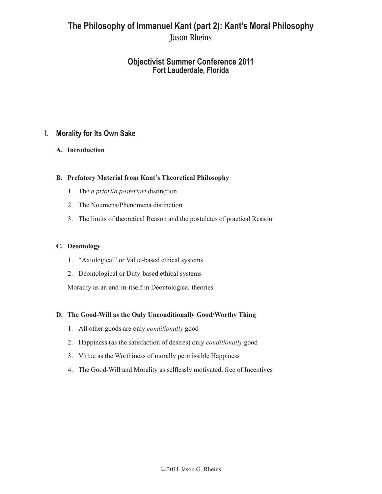# **The Philosophy of Immanuel Kant (part 2): Kant's Moral Philosophy** Jason Rheins

# **Objectivist Summer Conference 2011 Fort Lauderdale, Florida**

# **I. Morality for Its Own Sake**

## **A. Introduction**

## **B. Prefatory Material from Kant's Theoretical Philosophy**

- 1. The *a priori*/*a posteriori* distinction
- 2. The Noumena/Phenomena distinction
- 3. The limits of theoretical Reason and the postulates of practical Reason

#### **C. Deontology**

- 1. "Axiological" or Value-based ethical systems
- 2. Deontological or Duty-based ethical systems

Morality as an end-in-itself in Deontological theories

#### **D. The Good-Will as the Only Unconditionally Good/Worthy Thing**

- 1. All other goods are only *conditionally* good
- 2. Happiness (as the satisfaction of desires) only *conditionally* good
- 3. Virtue as the Worthiness of morally permissible Happiness
- 4. The Good-Will and Morality as selflessly motivated, free of Incentives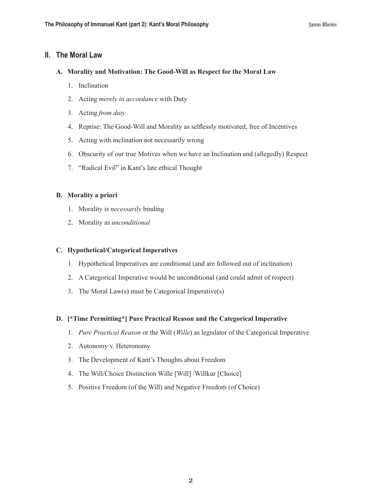## **II. The Moral Law**

#### **A. Morality and Motivation: The Good-Will as Respect for the Moral Law**

- 1. Inclination
- 2. Acting *merely in accordance* with Duty
- 3. Acting *from duty*
- 4. Reprise: The Good-Will and Morality as selflessly motivated, free of Incentives
- 5. Acting with inclination not necessarily wrong
- 6. Obscurity of our true Motives when we have an Inclination and (allegedly) Respect
- 7. "Radical Evil" in Kant's late ethical Thought

#### **B. Morality a priori**

- 1. Morality is *necessarily* binding
- 2. Morality as *unconditional*

#### **C. Hypothetical/Categorical Imperatives**

- 1. Hypothetical Imperatives are conditional (and are followed out of inclination)
- 2. A Categorical Imperative would be unconditional (and could admit of respect)
- 3. The Moral Law(s) must be Categorical Imperative(s)

#### **D. [\*Time Permitting\*] Pure Practical Reason and the Categorical Imperative**

- 1. *Pure Practical Reason* or the Will (*Wille*) as legislator of the Categorical Imperative
- 2. Autonomy v. Heteronomy
- 3. The Development of Kant's Thoughts about Freedom
- 4. The Will/Choice Distinction Wille [Will] /Willkur [Choice]
- 5. Positive Freedom (of the Will) and Negative Freedom (of Choice)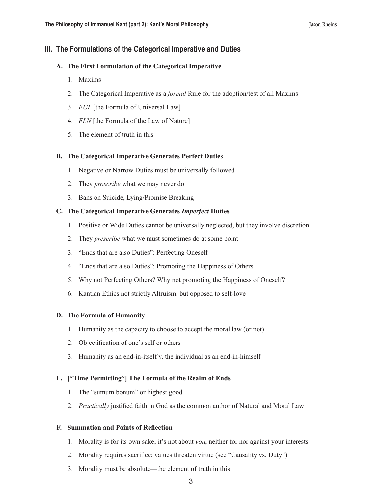# **III. The Formulations of the Categorical Imperative and Duties**

### **A. The First Formulation of the Categorical Imperative**

- 1. Maxims
- 2. The Categorical Imperative as a *formal* Rule for the adoption/test of all Maxims
- 3. *FUL* [the Formula of Universal Law]
- 4. *FLN* [the Formula of the Law of Nature]
- 5. The element of truth in this

#### **B. The Categorical Imperative Generates Perfect Duties**

- 1. Negative or Narrow Duties must be universally followed
- 2. They *proscribe* what we may never do
- 3. Bans on Suicide, Lying/Promise Breaking

#### **C. The Categorical Imperative Generates** *Imperfect* **Duties**

- 1. Positive or Wide Duties cannot be universally neglected, but they involve discretion
- 2. They *prescribe* what we must sometimes do at some point
- 3. "Ends that are also Duties": Perfecting Oneself
- 4. "Ends that are also Duties": Promoting the Happiness of Others
- 5. Why not Perfecting Others? Why not promoting the Happiness of Oneself?
- 6. Kantian Ethics not strictly Altruism, but opposed to self-love

#### **D. The Formula of Humanity**

- 1. Humanity as the capacity to choose to accept the moral law (or not)
- 2. Objectification of one's self or others
- 3. Humanity as an end-in-itself v. the individual as an end-in-himself

#### **E. [\*Time Permitting\*] The Formula of the Realm of Ends**

- 1. The "sumum bonum" or highest good
- 2. *Practically* justified faith in God as the common author of Natural and Moral Law

#### **F. Summation and Points of Reflection**

- 1. Morality is for its own sake; it's not about *you*, neither for nor against your interests
- 2. Morality requires sacrifice; values threaten virtue (see "Causality vs. Duty")
- 3. Morality must be absolute—the element of truth in this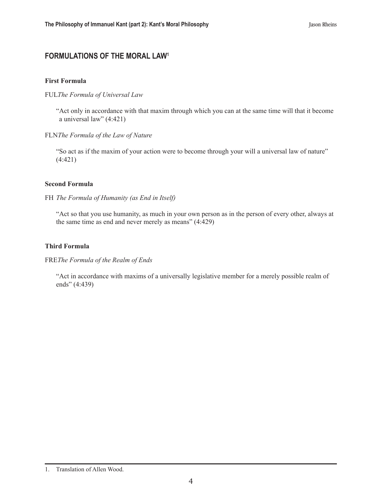# **FORMULATIONS OF THE MORAL LAW1**

#### **First Formula**

#### FUL*The Formula of Universal Law*

"Act only in accordance with that maxim through which you can at the same time will that it become a universal law" (4:421)

#### FLN*The Formula of the Law of Nature*

"So act as if the maxim of your action were to become through your will a universal law of nature" (4:421)

#### **Second Formula**

#### FH *The Formula of Humanity (as End in Itself)*

"Act so that you use humanity, as much in your own person as in the person of every other, always at the same time as end and never merely as means" (4:429)

#### **Third Formula**

#### FRE*The Formula of the Realm of Ends*

"Act in accordance with maxims of a universally legislative member for a merely possible realm of ends" (4:439)

<sup>1.</sup> Translation of Allen Wood.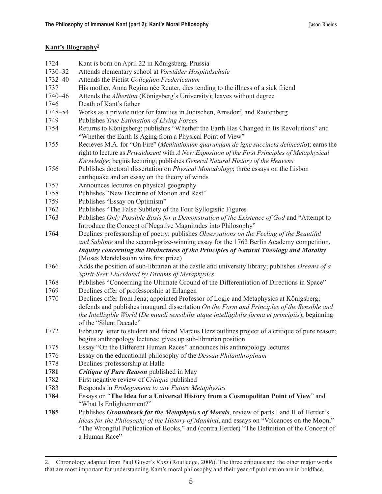## **Kant's Biography2**

| 1724    | Kant is born on April 22 in Königsberg, Prussia                                                       |
|---------|-------------------------------------------------------------------------------------------------------|
| 1730-32 | Attends elementary school at Vorstäder Hospitalschule                                                 |
| 1732-40 | Attends the Pietist Collegium Fredericanum                                                            |
| 1737    | His mother, Anna Regina née Reuter, dies tending to the illness of a sick friend                      |
| 1740-46 | Attends the Albertina (Königsberg's University); leaves without degree                                |
| 1746    | Death of Kant's father                                                                                |
| 1748-54 | Works as a private tutor for families in Judtschen, Arnsdorf, and Rautenberg                          |
| 1749    | Publishes True Estimation of Living Forces                                                            |
| 1754    | Returns to Königsberg; publishes "Whether the Earth Has Changed in Its Revolutions" and               |
|         | "Whether the Earth Is Aging from a Physical Point of View"                                            |
| 1755    | Recieves M.A. for "On Fire" (Meditationum quarundam de igne succincta delineatio); earns the          |
|         | right to lecture as Privatdozent with A New Exposition of the First Principles of Metaphysical        |
|         | Knowledge; begins lecturing; publishes General Natural History of the Heavens                         |
| 1756    | Publishes doctoral dissertation on Physical Monadology; three essays on the Lisbon                    |
|         | earthquake and an essay on the theory of winds                                                        |
| 1757    | Announces lectures on physical geography                                                              |
| 1758    | Publishes "New Doctrine of Motion and Rest"                                                           |
| 1759    | Publishes "Essay on Optimism"                                                                         |
| 1762    | Publishes "The False Subtlety of the Four Syllogistic Figures"                                        |
| 1763    | Publishes Only Possible Basis for a Demonstration of the Existence of God and "Attempt to             |
|         | Introduce the Concept of Negative Magnitudes into Philosophy"                                         |
| 1764    | Declines professorship of poetry; publishes Observations on the Feeling of the Beautiful              |
|         | and Sublime and the second-prize-winning essay for the 1762 Berlin Academy competition,               |
|         | Inquiry concerning the Distinctness of the Principles of Natural Theology and Morality                |
|         | (Moses Mendelssohn wins first prize)                                                                  |
| 1766    | Adds the position of sub-librarian at the castle and university library; publishes <i>Dreams of a</i> |
|         | Spirit-Seer Elucidated by Dreams of Metaphysics                                                       |
| 1768    | Publishes "Concerning the Ultimate Ground of the Differentiation of Directions in Space"              |
| 1769    | Declines offer of professorship at Erlangen                                                           |
| 1770    | Declines offer from Jena; appointed Professor of Logic and Metaphysics at Königsberg;                 |
|         | defends and publishes inaugural dissertation On the Form and Principles of the Sensible and           |
|         | the Intelligible World (De mundi sensibilis atque intelligibilis forma et principiis); beginning      |
|         | of the "Silent Decade"                                                                                |
| 1772    | February letter to student and friend Marcus Herz outlines project of a critique of pure reason;      |
|         | begins anthropology lectures; gives up sub-librarian position                                         |
| 1775    | Essay "On the Different Human Races" announces his anthropology lectures                              |
| 1776    | Essay on the educational philosophy of the Dessau Philanthropinum                                     |
| 1778    | Declines professorship at Halle                                                                       |
| 1781    | Critique of Pure Reason published in May                                                              |
| 1782    | First negative review of Critique published                                                           |
| 1783    | Responds in Prolegomena to any Future Metaphysics                                                     |
| 1784    | Essays on "The Idea for a Universal History from a Cosmopolitan Point of View" and                    |
|         | "What Is Enlightenment?"                                                                              |
| 1785    | Publishes Groundwork for the Metaphysics of Morals, review of parts I and II of Herder's              |
|         | Ideas for the Philosophy of the History of Mankind, and essays on "Volcanoes on the Moon,"            |
|         | "The Wrongful Publication of Books," and (contra Herder) "The Definition of the Concept of            |
|         | a Human Race"                                                                                         |

<sup>2.</sup> Chronology adapted from Paul Guyer's *Kant* (Routledge, 2006). The three critiques and the other major works that are most important for understanding Kant's moral philosophy and their year of publication are in boldface.